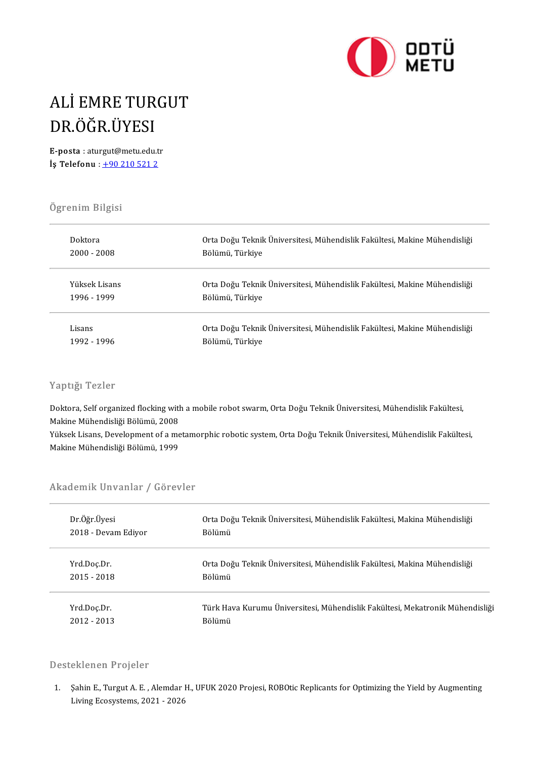

### ALİEMRETURGUT ALİ EMRE TUR<br>DR.ÖĞR.ÜYESI<br>E-posta : aturgut@metu.edu.t DR.ÖĞR.ÜYESI<br>E-posta : aturgut@metu.edu.tr<br>!s Telefony : 1.90.210.521.2

E-posta : aturgut@metu.edu.tr<br>  $i$ s Telefonu :  $\pm 902105212$ 

# .<br>Ögrenim Bilgisi<br>.

| Ugrenim Bilgisi |                                                                           |
|-----------------|---------------------------------------------------------------------------|
| Doktora         | Orta Doğu Teknik Üniversitesi, Mühendislik Fakültesi, Makine Mühendisliği |
| $2000 - 2008$   | Bölümü, Türkiye                                                           |
| Yüksek Lisans   | Orta Doğu Teknik Üniversitesi, Mühendislik Fakültesi, Makine Mühendisliği |
| 1996 - 1999     | Bölümü, Türkiye                                                           |
| Lisans          | Orta Doğu Teknik Üniversitesi, Mühendislik Fakültesi, Makine Mühendisliği |
| 1992 - 1996     | Bölümü, Türkiye                                                           |

### Yaptığı Tezler

Yaptığı Tezler<br>Doktora, Self organized flocking with a mobile robot swarm, Orta Doğu Teknik Üniversitesi, Mühendislik Fakültesi,<br>Makine Mühendisliği Bölümü, 2009 Mapurgi Mezici<br>Doktora, Self organized flocking with<br>Makine Mühendisliği Bölümü, 2008<br>Vülmek Lisane, Develenment of a ma Doktora, Self organized flocking with a mobile robot swarm, Orta Doğu Teknik Üniversitesi, Mühendislik Fakültesi,<br>Makine Mühendisliği Bölümü, 2008<br>Yüksek Lisans, Development of a metamorphic robotic system, Orta Doğu Tekni

Makine Mühendisliği Bölümü, 2008<br>Yüksek Lisans, Development of a metamorphic robotic system, Orta Doğu Teknik Üniversitesi, Mühendislik Fakültesi,<br>Makine Mühendisliği Bölümü, 1999

# макие мunenuisiigi bolumu, 1999<br>Akademik Unvanlar / Görevler

| Akademik Unvanlar / Görevler |                                                                               |  |
|------------------------------|-------------------------------------------------------------------------------|--|
| Dr Öğr Üyesi                 | Orta Doğu Teknik Üniversitesi, Mühendislik Fakültesi, Makina Mühendisliği     |  |
| 2018 - Devam Ediyor          | Bölümü                                                                        |  |
| Yrd Doc Dr.                  | Orta Doğu Teknik Üniversitesi, Mühendislik Fakültesi, Makina Mühendisliği     |  |
| $2015 - 2018$                | Bölümü                                                                        |  |
| Yrd Doç Dr.                  | Türk Hava Kurumu Üniversitesi, Mühendislik Fakültesi, Mekatronik Mühendisliği |  |
| $2012 - 2013$                | Bölümü                                                                        |  |

#### Desteklenen Projeler

1. Sahin E., Turgut A. E. , Alemdar H., UFUK 2020 Projesi, ROBOtic Replicants for Optimizing the Yield by Augmenting<br>1. Sahin E., Turgut A. E. , Alemdar H., UFUK 2020 Projesi, ROBOtic Replicants for Optimizing the Yield by SALENCH I I OJOIOI<br>Sahin E., Turgut A. E. , Alemdar l<br>Living Ecosystems, 2021 - 2026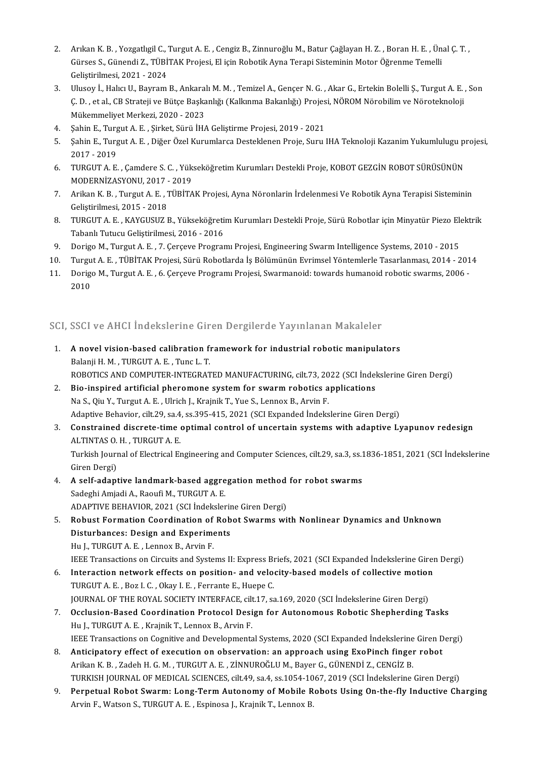- 2. Arıkan K. B. , Yozgatlıgil C., Turgut A. E. , Cengiz B., Zinnuroğlu M., Batur Çağlayan H. Z. , Boran H. E. , Ünal Ç. T. ,<br>Günese S. Günendi Z. TÜBİTAK Projeci, El isin Bobatik Arma Tereni Sisteminin Matar Öğranma Temell Arıkan K. B. , Yozgatlıgil C., Turgut A. E. , Cengiz B., Zinnuroğlu M., Batur Çağlayan H. Z. , Boran H. E. , Ün<br>Gürses S., Günendi Z., TÜBİTAK Projesi, El için Robotik Ayna Terapi Sisteminin Motor Öğrenme Temelli<br>Celistiri Arıkan K. B. , Yozgatlıgil C., '<br>Gürses S., Günendi Z., TÜBİ<br>Geliştirilmesi, 2021 - 2024<br>Ulusev İ. Halva U. Bayram 3. Gürses S., Günendi Z., TÜBİTAK Projesi, El için Robotik Ayna Terapi Sisteminin Motor Öğrenme Temelli<br>3. Ulusoy İ., Halıcı U., Bayram B., Ankaralı M. M. , Temizel A., Gençer N. G. , Akar G., Ertekin Bolelli Ş., Turgut A.
- Geliştirilmesi, 2021 2024<br>Ulusoy İ., Halıcı U., Bayram B., Ankaralı M. M. , Temizel A., Gençer N. G. , Akar G., Ertekin Bolelli Ş., Turgut A. E.<br>Ç. D. , et al., CB Strateji ve Bütçe Başkanlığı (Kalkınma Bakanlığı) Projes Ulusoy İ., Halıcı U., Bayram B., Ankara<br>Ç. D. , et al., CB Strateji ve Bütçe Başka<br>Mükemmeliyet Merkezi, 2020 - 2023<br>Sahin E. Turgut A. E., Sirket Sürü İH. 5. Ç. D. , et al., CB Strateji ve Bütçe Başkanlığı (Kalkınma Bakanlığı) Projes<br>Mükemmeliyet Merkezi, 2020 - 2023<br>4. Sahin E., Turgut A. E. , Şirket, Sürü İHA Geliştirme Projesi, 2019 - 2021<br>5. Sahin E., Turgut A. E., Qiğer
- 
- 5. Mükemmeliyet Merkezi, 2020 2023<br>1. Şahin E., Turgut A. E. , Şirket, Sürü İHA Geliştirme Projesi, 2019 2021<br>1. Şahin E., Turgut A. E. , Diğer Özel Kurumlarca Desteklenen Proje, Suru IHA Teknoloji Kazanim Yukumlulugu Sahin E., Turg<br>Sahin E., Turg<br>2017 - 2019<br>TUPCUT A. E 5. Şahin E., Turgut A. E. , Diğer Özel Kurumlarca Desteklenen Proje, Suru IHA Teknoloji Kazanim Yukumlulugu pi<br>2017 - 2019<br>6. TURGUT A. E. , Çamdere S. C. , Yükseköğretim Kurumları Destekli Proje, KOBOT GEZGİN ROBOT SÜRÜSÜ
- 2017 2019<br>TURGUT A. E. , Çamdere S. C. , Yük:<br>MODERNİZASYONU, 2017 2019<br>Arikan K. B. Turgut A. E. TürkiTA 6. TURGUT A. E. , Çamdere S. C. , Yükseköğretim Kurumları Destekli Proje, KOBOT GEZGİN ROBOT SÜRÜSÜNÜN<br>MODERNİZASYONU, 2017 - 2019<br>7. Arikan K. B. , Turgut A. E. , TÜBİTAK Projesi, Ayna Nöronlarin İrdelenmesi Ve Robotik Ay
- MODERNİZASYONU, 2017 2019<br>7. Arikan K. B. , Turgut A. E. , TÜBİTAK Projesi, Ayna Nöronlarin İrdelenmesi Ve Robotik Ayna Terapisi Sisteminin<br>6. Gelistirilmesi, 2015 2018 8. Arikan K. B. , Turgut A. E. , TÜBİTAK Projesi, Ayna Nöronlarin İrdelenmesi Ve Robotik Ayna Terapisi Sisteminin<br>6. Geliştirilmesi, 2015 - 2018<br>8. GELIROUT A. E. , KAYGUSUZ B., Yükseköğretim Kurumları Destekli Proje, Sürü
- Geliştirilmesi, 2015 2018<br>TURGUT A. E. , KAYGUSUZ B., Yükseköğreti<br>Tabanlı Tutucu Geliştirilmesi, 2016 2016<br>Dorive M. Turgut A. E., 7. Caresus Brogram 9. TURGUT A. E. , KAYGUSUZ B., Yükseköğretim Kurumları Destekli Proje, Sürü Robotlar için Minyatür Piezo Ele<br>Tabanlı Tutucu Geliştirilmesi, 2016 - 2016<br>9. Dorigo M., Turgut A. E. , 7. Çerçeve Programı Projesi, Engineering
- 
- 10. Tabanlı Tutucu Geliştirilmesi, 2016 2016<br>10. Dorigo M., Turgut A. E. , 7. Çerçeve Programı Projesi, Engineering Swarm Intelligence Systems, 2010 2015<br>10. Turgut A. E. , TÜBİTAK Projesi, Sürü Robotlarda İş Bölümünün
- 9. Dorigo M., Turgut A. E. , 7. Çerçeve Programı Projesi, Engineering Swarm Intelligence Systems, 2010 2015<br>10. Turgut A. E. , TÜBİTAK Projesi, Sürü Robotlarda İş Bölümünün Evrimsel Yöntemlerle Tasarlanması, 2014 201<br>1 Turgu<br>Dorige<br>2010

# 2010<br>SCI, SSCI ve AHCI İndekslerine Giren Dergilerde Yayınlanan Makaleler

- CI, SSCI ve AHCI İndekslerine Giren Dergilerde Yayınlanan Makaleler<br>1. A novel vision-based calibration framework for industrial robotic manipulators<br>Ralanii H.M. TURCUTA E. Tuncl. T 1 A novel vision-based calibration framework for industrial robotic manipulators<br>Balanji H. M. , TURGUT A. E. , Tunc L. T. A novel vision-based calibration framework for industrial robotic manipulators<br>Balanji H. M. , TURGUT A. E. , Tunc L. T.<br>ROBOTICS AND COMPUTER-INTEGRATED MANUFACTURING, cilt.73, 2022 (SCI İndekslerine Giren Dergi)<br>Bio insp Balanji H. M., TURGUT A. E., Tunc L. T.<br>ROBOTICS AND COMPUTER-INTEGRATED MANUFACTURING, cilt.73, 2022 (SCI Indel<br>2. Bio-inspired artificial pheromone system for swarm robotics applications<br>No S. Qiv.Y. Turgut A. E., Ulrich
- ROBOTICS AND COMPUTER-INTEGRATED MANUFACTURING, cilt.73, 20<br>Bio-inspired artificial pheromone system for swarm robotics a<br>Na S., Qiu Y., Turgut A. E. , Ulrich J., Krajnik T., Yue S., Lennox B., Arvin F.<br>Adaptive Pehavier, Bio-inspired artificial pheromone system for swarm robotics applications<br>Na S., Qiu Y., Turgut A. E. , Ulrich J., Krajnik T., Yue S., Lennox B., Arvin F.<br>Adaptive Behavior, cilt.29, sa.4, ss.395-415, 2021 (SCI Expanded Ind Na S., Qiu Y., Turgut A. E. , Ulrich J., Krajnik T., Yue S., Lennox B., Arvin F.<br>Adaptive Behavior, cilt.29, sa.4, ss.395-415, 2021 (SCI Expanded Indekslerine Giren Dergi)<br>3. Constrained discrete-time optimal control of un
- Adaptive Behavior, cilt.29, sa.4<br>**Constrained discrete-time**<br>ALTINTAS O. H. , TURGUT A. E.<br>Turkish Journal of Electrical Ex Constrained discrete-time optimal control of uncertain systems with adaptive Lyapunov redesign<br>ALTINTAS O. H. , TURGUT A. E.<br>Turkish Journal of Electrical Engineering and Computer Sciences, cilt.29, sa.3, ss.1836-1851, 202

ALTINTAS O. H. , TURGUT A. E.<br>Turkish Journal of Electrical Engineering and Computer Sciences, cilt.29, sa.3, ss.1836-1851, 2021 (SCI İndekslerine<br>Giren Dergi)

- 4. A self-adaptive landmark-based aggregation method for robot swarms Sadeghi Amjadi A., Raoufi M., TURGUT A. E. A self-adaptive landmark-based aggregation method<br>Sadeghi Amjadi A., Raoufi M., TURGUT A. E.<br>ADAPTIVE BEHAVIOR, 2021 (SCI İndekslerine Giren Dergi)<br>Bobust Formation Coordination of Bobot Sumrms wi
- 5. Robust Formation Coordination of Robot Swarms with Nonlinear Dynamics and Unknown ADAPTIVE BEHAVIOR, 2021 (SCI İndekslerin<br>Robust Formation Coordination of Rob<br>Disturbances: Design and Experiments<br>Hull TUBCUTA E, Lenney B, Arvin E Hu J., TURGUT A. E., Lennox B., Arvin F.

IEEE Transactions on Circuits and Systems II: Express Briefs, 2021 (SCI Expanded Indekslerine Giren Dergi)

- Fu J., TURGUT A. E. , Lennox B., Arvin F.<br>IEEE Transactions on Circuits and Systems II: Express Briefs, 2021 (SCI Expanded Indekslerine Girer<br>6. Interaction network effects on position- and velocity-based models of collect THE Transactions on Circuits and Systems II: Express B<br>**Interaction network effects on position- and velo**<br>TURGUT A. E. , Boz I. C. , Okay I. E. , Ferrante E., Huepe C.<br>JOUPMAL OF THE BOVAL SOCIETY INTEREACE silt 17, SS Interaction network effects on position- and velocity-based models of collective motion<br>TURGUT A. E. , Boz I. C. , Okay I. E. , Ferrante E., Huepe C.<br>JOURNAL OF THE ROYAL SOCIETY INTERFACE, cilt.17, sa.169, 2020 (SCI İndek
- TURGUT A. E. , Boz I. C. , Okay I. E. , Ferrante E., Huepe C.<br>JOURNAL OF THE ROYAL SOCIETY INTERFACE, cilt.17, sa.169, 2020 (SCI Indekslerine Giren Dergi)<br>7. Occlusion-Based Coordination Protocol Design for Autonomous Robo JOURNAL OF THE ROYAL SOCIETY INTERFACE, cilt<br>Occlusion-Based Coordination Protocol Desi<br>Hu J., TURGUT A. E. , Krajnik T., Lennox B., Arvin F.<br>JEEE Transastions on Cosmitive and Developments Occlusion-Based Coordination Protocol Design for Autonomous Robotic Shepherding Tasks<br>Hu J., TURGUT A. E. , Krajnik T., Lennox B., Arvin F.<br>IEEE Transactions on Cognitive and Developmental Systems, 2020 (SCI Expanded Indek 8. Hu J., TURGUT A. E. , Krajnik T., Lennox B., Arvin F.<br>IEEE Transactions on Cognitive and Developmental Systems, 2020 (SCI Expanded Indekslerine Giren D<br>8. Anticipatory effect of execution on observation: an approach usi
- IEEE Transactions on Cognitive and Developmental Systems, 2020 (SCI Expanded Indekslerine<br>Anticipatory effect of execution on observation: an approach using ExoPinch finger<br>Arikan K. B. , Zadeh H. G. M. , TURGUT A. E. , Zİ Anticipatory effect of execution on observation: an approach using ExoPinch finger robot<br>Arikan K. B. , Zadeh H. G. M. , TURGUT A. E. , ZİNNUROĞLU M., Bayer G., GÜNENDİ Z., CENGİZ B.<br>TURKISH JOURNAL OF MEDICAL SCIENCES, ci
- Arikan K. B. , Zadeh H. G. M. , TURGUT A. E. , ZİNNUROĞLU M., Bayer G., GÜNENDİ Z., CENGİZ B.<br>TURKISH JOURNAL OF MEDICAL SCIENCES, cilt.49, sa.4, ss.1054-1067, 2019 (SCI İndekslerine Giren Dergi)<br>Perpetual Robot Swarm: Lon TURKISH JOURNAL OF MEDICAL SCIENCES, cilt.49, sa.4, ss.1054-10<br>Perpetual Robot Swarm: Long-Term Autonomy of Mobile R<br>Arvin F., Watson S., TURGUT A. E. , Espinosa J., Krajnik T., Lennox B.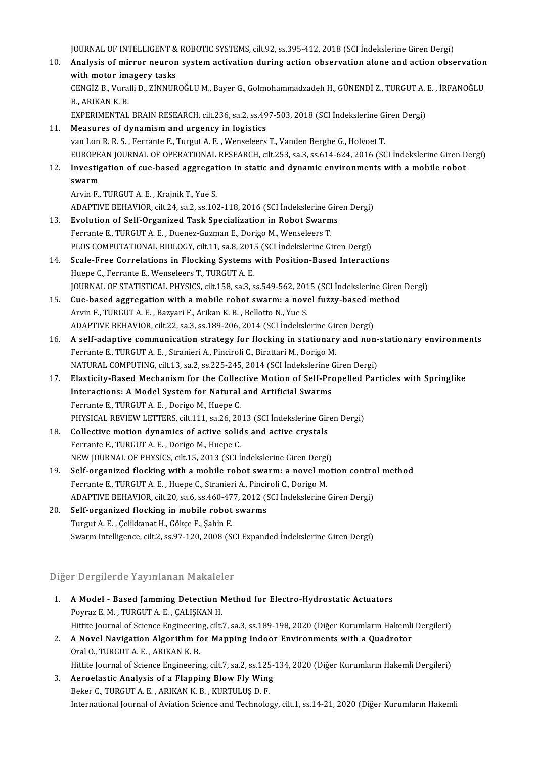JOURNAL OF INTELLIGENT & ROBOTIC SYSTEMS, cilt.92, ss.395-412, 2018 (SCI İndekslerine Giren Dergi)<br>Analysis of minnar neunan system astiyation during astian abasyyation alane and astian abas

10URNAL OF INTELLIGENT & ROBOTIC SYSTEMS, cilt.92, ss.395-412, 2018 (SCI İndekslerine Giren Dergi)<br>10. Analysis of mirror neuron system activation during action observation alone and action observation **JOURNAL OF INTELLIGENT &<br>Analysis of mirror neuron<br>with motor imagery tasks**<br>CENCIZ B. Vuralli D. ZINNUD Analysis of mirror neuron system activation during action observation alone and action observation<br>with motor imagery tasks<br>CENGİZ B., Vuralli D., ZİNNUROĞLU M., Bayer G., Golmohammadzadeh H., GÜNENDİ Z., TURGUT A. E. , İR

**with motor im**<br>CENGIZ B., Vura<br>B., ARIKAN K. B.<br>EYDEDIMENTAL CENGİZ B., Vuralli D., ZİNNUROĞLU M., Bayer G., Golmohammadzadeh H., GÜNENDİ Z., TURGUT A. |<br>B., ARIKAN K. B.<br>EXPERIMENTAL BRAIN RESEARCH, cilt.236, sa.2, ss.497-503, 2018 (SCI İndekslerine Giren Dergi)<br>Measures of dunamis

11. B., ARIKAN K. B.<br>EXPERIMENTAL BRAIN RESEARCH, cilt.236, sa.2, ss.497-503, 2018 (SCI İndekslerine Giren Dergi)<br>11. Measures of dynamism and urgency in logistics

- van Lon R. R. S., Ferrante E., Turgut A. E., Wenseleers T., Vanden Berghe G., Holvoet T. EUROPEAN JOURNAL OF OPERATIONAL RESEARCH, cilt.253, sa.3, ss.614-624, 2016 (SCI İndekslerine Giren Dergi) van Lon R. R. S. , Ferrante E., Turgut A. E. , Wenseleers T., Vanden Berghe G., Holvoet T.<br>EUROPEAN JOURNAL OF OPERATIONAL RESEARCH, cilt.253, sa.3, ss.614-624, 2016 (SCI Indekslerine Giren D<br>12. Investigation of cue-based
- EUROPE<sub>4</sub><br>Investig<br>swarm **Investigation of cue-based aggregat<br>swarm<br>Arvin F., TURGUT A. E. , Krajnik T., Yue S.<br>ADAPTIVE PEHAVIOP silt 24, sa 2, ss 10.** swarm<br>Arvin F., TURGUT A. E. , Krajnik T., Yue S.<br>ADAPTIVE BEHAVIOR, cilt.24, sa.2, ss.102-118, 2016 (SCI İndekslerine Giren Dergi)

- Arvin F., TURGUT A. E., Krajnik T., Yue S.<br>ADAPTIVE BEHAVIOR, cilt.24, sa.2, ss.102-118, 2016 (SCI Indekslerine Giro<br>13. Evolution of Self-Organized Task Specialization in Robot Swarms<br>Eorganize E. TURGUT A. E. Duenge Guam ADAPTIVE BEHAVIOR, cilt.24, sa.2, ss.102-118, 2016 (SCI İndekslerine G<br>Evolution of Self-Organized Task Specialization in Robot Swarm<br>Ferrante E., TURGUT A. E. , Duenez-Guzman E., Dorigo M., Wenseleers T.<br>PLOS COMPUTATIONA Evolution of Self-Organized Task Specialization in Robot Swarms<br>Ferrante E., TURGUT A. E. , Duenez-Guzman E., Dorigo M., Wenseleers T.<br>PLOS COMPUTATIONAL BIOLOGY, cilt.11, sa.8, 2015 (SCI İndekslerine Giren Dergi)<br>Saala Er Ferrante E., TURGUT A. E. , Duenez-Guzman E., Dorigo M., Wenseleers T.<br>PLOS COMPUTATIONAL BIOLOGY, cilt.11, sa.8, 2015 (SCI Indekslerine Giren Dergi)<br>14. Scale-Free Correlations in Flocking Systems with Position-Based Inte
- PLOS COMPUTATIONAL BIOLOGY, cilt.11, sa.8, 201<br>Scale-Free Correlations in Flocking Systems<br>Huepe C., Ferrante E., Wenseleers T., TURGUT A. E. Scale-Free Correlations in Flocking Systems with Position-Based Interactions<br>Huepe C., Ferrante E., Wenseleers T., TURGUT A. E.<br>JOURNAL OF STATISTICAL PHYSICS, cilt.158, sa.3, ss.549-562, 2015 (SCI İndekslerine Giren Dergi Huepe C., Ferrante E., Wenseleers T., TURGUT A. E.<br>JOURNAL OF STATISTICAL PHYSICS, cilt.158, sa.3, ss.549-562, 2015 (SCI Indekslerine Giren<br>15. Cue-based aggregation with a mobile robot swarm: a novel fuzzy-based method<br>Ar
- JOURNAL OF STATISTICAL PHYSICS, cilt.158, sa.3, ss.549-562, 201<br>Cue-based aggregation with a mobile robot swarm: a nove<br>Arvin F., TURGUT A. E. , Bazyari F., Arikan K. B. , Bellotto N., Yue S.<br>ADAPTIVE PEHAVIOP, cilt.22, sa Cue-based aggregation with a mobile robot swarm: a novel fuzzy-based m<br>Arvin F., TURGUT A. E. , Bazyari F., Arikan K. B. , Bellotto N., Yue S.<br>ADAPTIVE BEHAVIOR, cilt.22, sa.3, ss.189-206, 2014 (SCI İndekslerine Giren Derg Arvin F., TURGUT A. E., Bazyari F., Arikan K. B., Bellotto N., Yue S.<br>ADAPTIVE BEHAVIOR, cilt.22, sa.3, ss.189-206, 2014 (SCI İndekslerine Giren Dergi)<br>16. A self-adaptive communication strategy for flocking in stationary
- ADAPTIVE BEHAVIOR, cilt.22, sa.3, ss.189-206, 2014 (SCI İndekslerine Gir<br>A self-adaptive communication strategy for flocking in stationary<br>Ferrante E., TURGUT A. E., Stranieri A., Pinciroli C., Birattari M., Dorigo M.<br>MATU A self-adaptive communication strategy for flocking in stationary and non-<br>Ferrante E., TURGUT A. E. , Stranieri A., Pinciroli C., Birattari M., Dorigo M.<br>NATURAL COMPUTING, cilt.13, sa.2, ss.225-245, 2014 (SCI İndekslerin Ferrante E., TURGUT A. E., Stranieri A., Pinciroli C., Birattari M., Dorigo M.<br>NATURAL COMPUTING, cilt.13, sa.2, ss.225-245, 2014 (SCI İndekslerine Giren Dergi)<br>17. Elasticity-Based Mechanism for the Collective Motion of S
- NATURAL COMPUTING, cilt.13, sa.2, ss.225-245, 2014 (SCI Indekslerine Giren Dergi)<br>Elasticity-Based Mechanism for the Collective Motion of Self-Propelled Par<br>Interactions: A Model System for Natural and Artificial Swarms<br>Fe Elasticity-Based Mechanism for the Collect<br>Interactions: A Model System for Natural<br>Ferrante E., TURGUT A. E., Dorigo M., Huepe C.<br>PHYSICAL PEVIEW LETTEDS, sit 111, so 26, 20 Interactions: A Model System for Natural and Artificial Swarms<br>Ferrante E., TURGUT A. E. , Dorigo M., Huepe C.<br>PHYSICAL REVIEW LETTERS, cilt.111, sa.26, 2013 (SCI İndekslerine Giren Dergi)<br>Collective motion dynamics of act Ferrante E., TURGUT A. E., Dorigo M., Huepe C.<br>PHYSICAL REVIEW LETTERS, cilt.111, sa.26, 2013 (SCI indekslerine Gir<br>18. Collective motion dynamics of active solids and active crystals<br>Ferrante E. TURGUT A. E. Dorigo M. Hue
- PHYSICAL REVIEW LETTERS, cilt.111, sa.26, 20<br>Collective motion dynamics of active solid<br>Ferrante E., TURGUT A. E., Dorigo M., Huepe C. Collective motion dynamics of active solids and active crystals<br>Ferrante E., TURGUT A. E. , Dorigo M., Huepe C.<br>NEW JOURNAL OF PHYSICS, cilt.15, 2013 (SCI İndekslerine Giren Dergi)<br>Self exganized flogking with a mabile rab
- Ferrante E., TURGUT A. E., Dorigo M., Huepe C.<br>NEW JOURNAL OF PHYSICS, cilt.15, 2013 (SCI Indekslerine Giren Dergi)<br>19. Self-organized flocking with a mobile robot swarm: a novel motion control method<br>Ferrante E. TURGUT A. NEW JOURNAL OF PHYSICS, cilt.15, 2013 (SCI Indekslerine Giren Dergi<br>Self-organized flocking with a mobile robot swarm: a novel mo<br>Ferrante E., TURGUT A. E., Huepe C., Stranieri A., Pinciroli C., Dorigo M.<br>ADAPTIVE PEHAVIOP Self-organized flocking with a mobile robot swarm: a novel motion contro<br>Ferrante E., TURGUT A. E. , Huepe C., Stranieri A., Pinciroli C., Dorigo M.<br>ADAPTIVE BEHAVIOR, cilt.20, sa.6, ss.460-477, 2012 (SCI İndekslerine Gire Ferrante E., TURGUT A. E. , Huepe C., Stranieri A., Pinciroli C., Dorigo M.<br>ADAPTIVE BEHAVIOR, cilt.20, sa.6, ss.460-477, 2012 (SCI İndekslerine<br>20. Self-organized flocking in mobile robot swarms<br>Turgut A. E. , Çelikkanat ADAPTIVE BEHAVIOR, cilt.20, sa.6, ss.460-477, 2012 (SCI İndekslerine Giren Dergi)
- Swarm Intelligence, cilt.2, ss.97-120, 2008 (SCI Expanded İndekslerine Giren Dergi)

### Diğer Dergilerde Yayınlanan Makaleler

- liğer Dergilerde Yayınlanan Makaleler<br>1. A Model Based Jamming Detection Method for Electro-Hydrostatic Actuators<br>Revreg E M TURCUT A E CALISYAN H Polisherde Taymandin Makater<br>A Model - Based Jamming Detection N<br>Poyraz E. M. , TURGUT A. E. , ÇALIŞKAN H. A Model - Based Jamming Detection Method for Electro-Hydrostatic Actuators<br>Poyraz E. M. , TURGUT A. E. , ÇALIŞKAN H.<br>Hittite Journal of Science Engineering, cilt.7, sa.3, ss.189-198, 2020 (Diğer Kurumların Hakemli Dergiler Poyraz E. M. , TURGUT A. E. , ÇALIŞKAN H.<br>Hittite Journal of Science Engineering, cilt.7, sa.3, ss.189-198, 2020 (Diğer Kurumların Hakemli<br>2. A Novel Navigation Algorithm for Mapping Indoor Environments with a Quadrotor<br>2.
- Hittite Journal of Science Engineerin<br>A Novel Navigation Algorithm fo<br>Oral O., TURGUT A. E. , ARIKAN K. B.<br>Hittite Journal of Science Engineerin 2. A Novel Navigation Algorithm for Mapping Indoor Environments with a Quadrotor<br>Oral O., TURGUT A. E., ARIKAN K. B.<br>Hittite Journal of Science Engineering, cilt.7, sa.2, ss.125-134, 2020 (Diğer Kurumların Hakemli Dergiler 3. Oral 0., TURGUT A. E., ARIKAN K. B.<br>Hittite Journal of Science Engineering, cilt.7, sa.2, ss.125-<br>3. Aeroelastic Analysis of a Flapping Blow Fly Wing<br>Relige G. TURGUT A. E., ARIKAN K. B., KURTULUS D. E.
- Hittite Journal of Science Engineering, cilt.7, sa.2, ss.125<br>Aeroelastic Analysis of a Flapping Blow Fly Wing<br>Beker C., TURGUT A. E. , ARIKAN K. B. , KURTULUŞ D. F.<br>International Journal of Aviation Science and Technolog Beker C., TURGUT A. E., ARIKAN K. B., KURTULUŞ D. F.<br>International Journal of Aviation Science and Technology, cilt.1, ss.14-21, 2020 (Diğer Kurumların Hakemli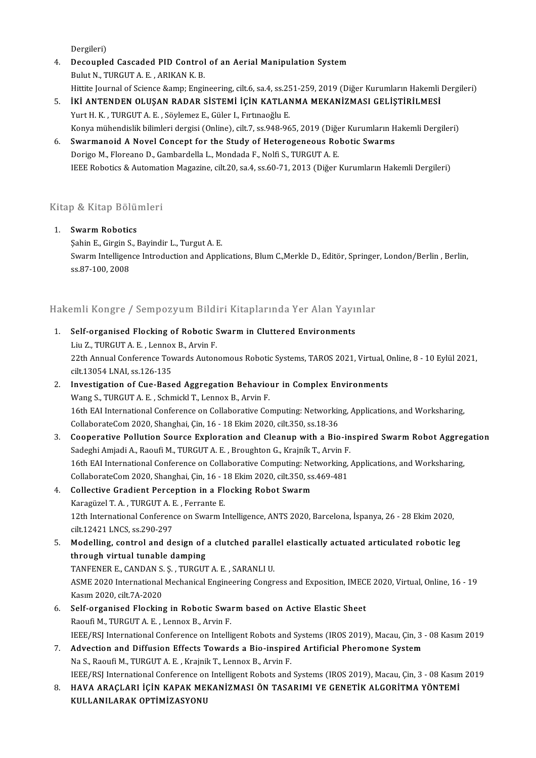Dergileri)

- Dergileri)<br>4. Decoupled Cascaded PID Control of an Aerial Manipulation System<br>Rulyt N. THRCUT A.E., ADIVAN V. B Dergileri)<br><mark>Decoupled Cascaded PID Control</mark><br>Bulut N., TURGUT A. E. , ARIKAN K. B.<br>Hittite Journal of Science Somn: Engi Bulut N., TURGUT A. E. , ARIKAN K. B.<br>Hittite Journal of Science &amp; Engineering, cilt.6, sa.4, ss.251-259, 2019 (Diğer Kurumların Hakemli Dergileri) Bulut N., TURGUT A. E. , ARIKAN K. B.<br>Hittite Journal of Science &amp; Engineering, cilt.6, sa.4, ss.251-259, 2019 (Diğer Kurumların Hakemli ]<br>5. İKİ ANTENDEN OLUŞAN RADAR SİSTEMİ İÇİN KATLANMA MEKANİZMASI GELİŞTİRİLMESİ<br>Y
- Hittite Journal of Science & Engineering, cilt.6, sa.4, ss.25<br>**İKİ ANTENDEN OLUŞAN RADAR SİSTEMİ İÇİN KATLA**N<br>Yurt H. K. , TURGUT A. E. , Söylemez E., Güler I., Fırtınaoğlu E.<br>Konya mühandislik bilimleri dergisi (Onlin İKİ ANTENDEN OLUŞAN RADAR SİSTEMİ İÇİN KATLANMA MEKANİZMASI GELİŞTİRİLMESİ<br>Yurt H. K. , TURGUT A. E. , Söylemez E., Güler I., Fırtınaoğlu E.<br>Konya mühendislik bilimleri dergisi (Online), cilt.7, ss.948-965, 2019 (Diğer Kur Yurt H. K., TURGUT A. E., Söylemez E., Güler I., Fırtınaoğlu E.<br>Konya mühendislik bilimleri dergisi (Online), cilt.7, ss.948-965, 2019 (Diğer Kurumların F<br>6. Swarmanoid A Novel Concept for the Study of Heterogeneous Roboti Konya mühendislik bilimleri dergisi (Online), cilt.7, ss.948-965, 2019 (Diğer Kurumların Hakemli Dergileri)
- IEEE Robotics & Automation Magazine, cilt.20, sa.4, ss.60-71, 2013 (Diğer Kurumların Hakemli Dergileri)

## nee Roboucs & Automatik<br>Kitap & Kitap Bölümleri <u>sitap & Kitap Bölün</u><br>1. Swarm Robotics<br>Sobin E. Girgin S. I

1. Swarm Robotics<br>Sahin E., Girgin S., Bayindir L., Turgut A. E. Swarm Robotics<br>Şahin E., Girgin S., Bayindir L., Turgut A. E.<br>Swarm Intelligence Introduction and Applications, Blum C.,Merkle D., Editör, Springer, London/Berlin , Berlin, Şahin E., Girgin S<br>Swarm Intelligen<br>ss.87-100, 2008

# ss.87-100,2008<br>Hakemli Kongre / Sempozyum Bildiri Kitaplarında Yer Alan Yayınlar

Iakemli Kongre / Sempozyum Bildiri Kitaplarında Yer Alan Yayı<br>1. Self-organised Flocking of Robotic Swarm in Cluttered Environments<br>1. Self-organised Flocking of Robotic Swarm in Cluttered Environments 1. Self-organised Flocking of Robotic Swarm in Cluttered Environments 22th Annual Conference Towards Autonomous Robotic Systems, TAROS 2021, Virtual, Online, 8 - 10 Eylül 2021, cilt.13054 LNAI, ss.126-135 Liu Z., TURGUT A. E., Lennox B., Arvin F. 22th Annual Conference Towards Autonomous Robotic Systems, TAROS 2021, Virtual, C<br>cilt13054 LNAI, ss.126-135<br>2. Investigation of Cue-Based Aggregation Behaviour in Complex Environments<br>Wang S. TUPCUT A. E. SchmickLT, Lanna cilt.13054 LNAI, ss.126-135<br>Investigation of Cue-Based Aggregation Behavio<br>Wang S., TURGUT A. E. , Schmickl T., Lennox B., Arvin F.<br>16th FAJ International Conference on Collaborative Co.

Investigation of Cue-Based Aggregation Behaviour in Complex Environments<br>Wang S., TURGUT A. E. , Schmickl T., Lennox B., Arvin F.<br>16th EAI International Conference on Collaborative Computing: Networking, Applications, and Wang S., TURGUT A. E. , Schmickl T., Lennox B., Arvin F.<br>16th EAI International Conference on Collaborative Computing: Networkir<br>CollaborateCom 2020, Shanghai, Çin, 16 - 18 Ekim 2020, cilt.350, ss.18-36<br>Connective Pollutio 16th EAI International Conference on Collaborative Computing: Networking, Applications, and Worksharing,<br>CollaborateCom 2020, Shanghai, Çin, 16 - 18 Ekim 2020, cilt.350, ss.18-36<br>3. Cooperative Pollution Source Exploration

- CollaborateCom 2020, Shanghai, Çin, 16 18 Ekim 2020, cilt.350, ss.18-36<br>Cooperative Pollution Source Exploration and Cleanup with a Bio-in<br>Sadeghi Amjadi A., Raoufi M., TURGUT A. E. , Broughton G., Krajník T., Arvin F.<br>1 Cooperative Pollution Source Exploration and Cleanup with a Bio-inspired Swarm Robot Aggreg<br>Sadeghi Amjadi A., Raoufi M., TURGUT A. E. , Broughton G., Krajník T., Arvin F.<br>16th EAI International Conference on Collaborative Sadeghi Amjadi A., Raoufi M., TURGUT A. E. , Broughton G., Krajník T., Arvin F.<br>16th EAI International Conference on Collaborative Computing: Networking,<br>CollaborateCom 2020, Shanghai, Çin, 16 - 18 Ekim 2020, cilt.350, ss. 16th EAI International Conference on Collaborative Computing: Ne<br>CollaborateCom 2020, Shanghai, Çin, 16 - 18 Ekim 2020, cilt.350, ss<br>4. Collective Gradient Perception in a Flocking Robot Swarm<br>Karagürel T.A., TUBCUTA E. Fe
- CollaborateCom 2020, Shanghai, Çin, 16 1<br>Collective Gradient Perception in a Fl<br>Karagüzel T. A. , TURGUT A. E. , Ferrante E.<br>12th International Conference on Surarm I. Collective Gradient Perception in a Flocking Robot Swarm<br>Karagüzel T. A. , TURGUT A. E. , Ferrante E.<br>12th International Conference on Swarm Intelligence, ANTS 2020, Barcelona, İspanya, 26 - 28 Ekim 2020,<br>silt 12421 LNCS s Karagüzel T. A. , TURGUT A. E<br>12th International Conference<br>12421LNCS, ss.290-297 12th International Conference on Swarm Intelligence, ANTS 2020, Barcelona, İspanya, 26 - 28 Ekim 2020,<br>cilt.12421 LNCS, ss.290-297<br>5. Modelling, control and design of a clutched parallel elastically actuated articulated ro
- cilt.12421 LNCS, ss.290-297<br>Modelling, control and design of a clutched parall<br>through virtual tunable damping<br>TANFENER E., CANDAN S. S. , TURGUT A. E. , SARANLI U. 5. Modelling, control and design of a clutched parallel elastically actuated articulated robotic leg through virtual tunable damping<br>TANFENER E., CANDAN S. Ş. , TURGUT A. E. , SARANLI U.<br>ASME 2020 International Mechanical Engineering Congress and Exposition, IMECE 2020, Virtual, Online, 16 - 19<br>Kasum 2020, silt 7A 2020.
- TANFENER E., CANDAN S.<br>ASME 2020 International<br>Kasım 2020, cilt.7A-2020<br>Self.organised Eleckine 6. ASME 2020 International Mechanical Engineering Congress and Exposition, IMEC.<br>Kasım 2020, cilt.7A-2020<br>6. Self-organised Flocking in Robotic Swarm based on Active Elastic Sheet<br>Resufi M. TURCUT A.E. Lanney B. Awin E.
- Kasım 2020, cilt.7A-2020<br>6. Self-organised Flocking in Robotic Swarm based on Active Elastic Sheet<br>Raoufi M., TURGUT A. E. , Lennox B., Arvin F. Self-organised Flocking in Robotic Swarm based on Active Elastic Sheet<br>Raoufi M., TURGUT A. E. , Lennox B., Arvin F.<br>IEEE/RSJ International Conference on Intelligent Robots and Systems (IROS 2019), Macau, Çin, 3 - 08 Kasım Raoufi M., TURGUT A. E., Lennox B., Arvin F.<br>IEEE/RSJ International Conference on Intelligent Robots and Systems (IROS 2019), Macau, Çin, 3<br>7. Advection and Diffusion Effects Towards a Bio-inspired Artificial Pheromone Sys
- IEEE/RSJ International Conference on Intelligent Robots and<br>**Advection and Diffusion Effects Towards a Bio-inspire**<br>Na S., Raoufi M., TURGUT A. E. , Krajnik T., Lennox B., Arvin F.<br>IEEE/PSL International Conference on Inte Advection and Diffusion Effects Towards a Bio-inspired Artificial Pheromone System<br>Na S., Raoufi M., TURGUT A. E. , Krajnik T., Lennox B., Arvin F.<br>IEEE/RSJ International Conference on Intelligent Robots and Systems (IROS
- Na S., Raoufi M., TURGUT A. E. , Krajnik T., Lennox B., Arvin F.<br>IEEE/RSJ International Conference on Intelligent Robots and Systems (IROS 2019), Macau, Çin, 3 08 Kasım<br>8. HAVA ARAÇLARI İÇİN KAPAK MEKANİZMASI ÖN TASA IEEE/RSJ International Conference on<br>HAVA ARAÇLARI İÇİN KAPAK ME<br>KULLANILARAK OPTİMİZASYONU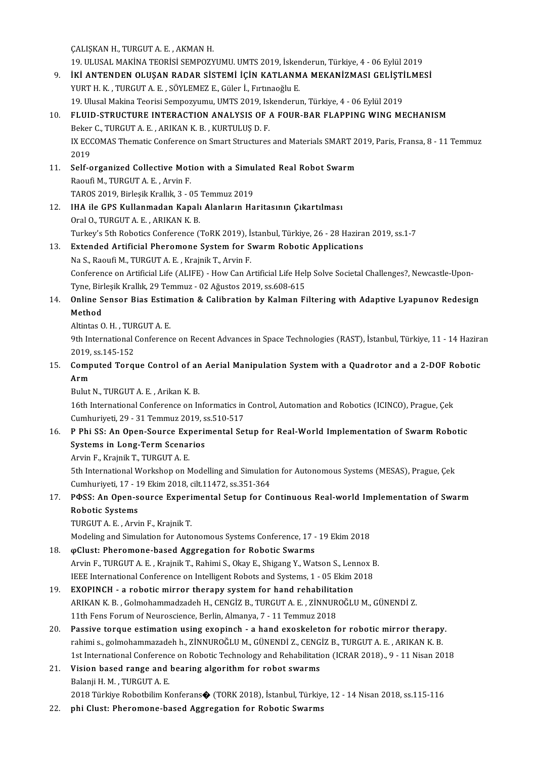ÇALIŞKAN H., TURGUT A. E., AKMAN H.

CALIŞKAN H., TURGUT A. E. , AKMAN H.<br>19. ULUSAL MAKİNA TEORİSİ SEMPOZYUMU. UMTS 2019, İskenderun, Türkiye, 4 - 06 Eylül 2019<br>İKİ ANTENDEN OLUSAN PADAR SİSTEMİ İÇİN KATLANMA MEKANİZMASI GELİSTİLME CALIŞKAN H., TURGUT A. E. , AKMAN H.<br>19. ULUSAL MAKİNA TEORİSİ SEMPOZYUMU. UMTS 2019, İskenderun, Türkiye, 4 - 06 Eylül 2019<br>9. İKİ ANTENDEN OLUŞAN RADAR SİSTEMİ İÇİN KATLANMA MEKANİZMASI GELİŞTİLMESİ<br>2010TH K. TURGUT A E. 19. ULUSAL MAKİNA TEORİSİ SEMPOZYUMU. UMTS 2019, İsker<br>**İKİ ANTENDEN OLUŞAN RADAR SİSTEMİ İÇİN KATLANM**<br>YURT H. K. , TURGUT A. E. , SÖYLEMEZ E., Güler İ., Fırtınaoğlu E.<br>10. Ulusal Makina Teorisi Semneyyumu. UMTS 2010, İsk <mark>İKİ ANTENDEN OLUŞAN RADAR SİSTEMİ İÇİN KATLANMA MEKANİZMASI GELİŞTİ</mark><br>YURT H. K. , TURGUT A. E. , SÖYLEMEZ E., Güler İ., Fırtınaoğlu E.<br>19. Ulusal Makina Teorisi Sempozyumu, UMTS 2019, Iskenderun, Türkiye, 4 - 06 Eylül 201 YURT H. K. , TURGUT A. E. , SÖYLEMEZ E., Güler İ., Fırtınaoğlu E.<br>19. Ulusal Makina Teorisi Sempozyumu, UMTS 2019, Iskenderun, Türkiye, 4 - 06 Eylül 2019<br>10. FLUID-STRUCTURE INTERACTION ANALYSIS OF A FOUR-BAR FLAPPING WING 19. Ulusal Makina Teorisi Sempozyumu, UMTS 2019, Isl<br>FLUID-STRUCTURE INTERACTION ANALYSIS OF 4<br>Beker C., TURGUT A. E. , ARIKAN K. B. , KURTULUŞ D. F.<br>IV ECCOMAS Thematic Conforence on Smart Structures FLUID-STRUCTURE INTERACTION ANALYSIS OF A FOUR-BAR FLAPPING WING MECHANISM<br>Beker C., TURGUT A. E. , ARIKAN K. B. , KURTULUŞ D. F.<br>IX ECCOMAS Thematic Conference on Smart Structures and Materials SMART 2019, Paris, Fransa, Beker C., TURGUT A. E. , ARIKAN K. B. , KURTULUŞ D. F.<br>IX ECCOMAS Thematic Conference on Smart Structures and Materials SMART 2019, Paris, Fransa, 8 - 11 Temmuz<br>2019 IX ECCOMAS Thematic Conference on Smart Structures and Materials SMART 2<br>2019<br>11. Self-organized Collective Motion with a Simulated Real Robot Swarm<br>Rooufi M. TURCUT A. E., Arvin F. 2019<br>Self-organized Collective Mot<br>Raoufi M., TURGUT A. E. , Arvin F.<br>TAROS 2019, Pirlosil: Krallık 2., G Self-organized Collective Motion with a Simu:<br>Raoufi M., TURGUT A. E. , Arvin F.<br>TAROS 2019, Birleşik Krallık, 3 - 05 Temmuz 2019<br>IHA ile CBS Kullanmadan Kanalı Alanların Ha 12. Raoufi M., TURGUT A. E. , Arvin F.<br>12. IHA ile GPS Kullanmadan Kapalı Alanların Haritasının Çıkartılması Oral O., TURGUT A. E., ARIKAN K. B. IHA ile GPS Kullanmadan Kapalı Alanların Haritasının Çıkartılması<br>Oral O., TURGUT A. E. , ARIKAN K. B.<br>Turkey's 5th Robotics Conference (ToRK 2019), İstanbul, Türkiye, 26 - 28 Haziran 2019, ss.1-7<br>Eytandad Artificial Phara Oral O., TURGUT A. E., ARIKAN K. B.<br>Turkey's 5th Robotics Conference (ToRK 2019), İstanbul, Türkiye, 26 - 28 Hazira<br>13. Extended Artificial Pheromone System for Swarm Robotic Applications<br>Ne S. Basufi M. TURGUT A. E. Kraja Turkey's 5th Robotics Conference (ToRK 2019), İs<br>**Extended Artificial Pheromone System for S.**<br>Na S., Raoufi M., TURGUT A. E. , Krajnik T., Arvin F.<br>Conference on Artificial Life (ALIEE), How Can A. Extended Artificial Pheromone System for Swarm Robotic Applications<br>Na S., Raoufi M., TURGUT A. E. , Krajnik T., Arvin F.<br>Conference on Artificial Life (ALIFE) - How Can Artificial Life Help Solve Societal Challenges?, New Na S., Raoufi M., TURGUT A. E. , Krajnik T., Arvin F.<br>Conference on Artificial Life (ALIFE) - How Can Artificial Life Help<br>Tyne, Birleşik Krallık, 29 Temmuz - 02 Ağustos 2019, ss.608-615<br>Online Sensen Bias Estimation & Cal 14. Conference on Artificial Life (ALIFE) - How Can Artificial Life Help Solve Societal Challenges?, Newcastle-Upon-<br>14. Online Sensor Bias Estimation & Calibration by Kalman Filtering with Adaptive Lyapunov Redesign<br>14. O Tyne, Birleşik Krallık, 29 Temmuz - 02 Ağustos 2019, ss.608-615<br>Online Sensor Bias Estimation & Calibration by Kalman F<br>Method<br>Altintas O. H., TURGUT A. E. **Online Sensor Bias Estim<br>Method<br>Altintas O. H. , TURGUT A. E.<br>9th International Conference** Method<br>Altintas O. H. , TURGUT A. E.<br>9th International Conference on Recent Advances in Space Technologies (RAST), İstanbul, Türkiye, 11 - 14 Haziran Altintas O. H. , TUR<br>9th International<br>2019, ss.145-152<br>Computed Toral 9th International Conference on Recent Advances in Space Technologies (RAST), İstanbul, Türkiye, 11 - 14 Hazira<br>2019, ss.145-152<br>15. Computed Torque Control of an Aerial Manipulation System with a Quadrotor and a 2-DOF Rob 2019,<br>Comp<br>Arm Computed Torque Control of an<br>Arm<br>Bulut N., TURGUT A. E. , Arikan K. B.<br>16th International Conference on Ir **Arm**<br>Bulut N., TURGUT A. E. , Arikan K. B.<br>16th International Conference on Informatics in Control, Automation and Robotics (ICINCO), Prague, Çek Bulut N., TURGUT A. E. , Arikan K. B.<br>16th International Conference on Informatics in<br>Cumhuriyeti, 29 - 31 Temmuz 2019, ss.510-517<br>B. Bhi. SS. An Onen Sourse Eunerimental Set 16. P Phi SS: An Open-Source Experimental Setup for Real-World Implementation of Swarm Robotic Systems in Long-Term Scenarios Cumhuriyeti, 29 - 31 Temmuz 2019, s<br>P Phi SS: An Open-Source Experii<br>Systems in Long-Term Scenarios ArvinF.,KrajnikT.,TURGUTA.E. Systems in Long-Term Scenarios<br>Arvin F., Krajnik T., TURGUT A. E.<br>5th International Workshop on Modelling and Simulation for Autonomous Systems (MESAS), Prague, Çek<br>Cumburiyati 17, 19 Elim 2019, silt 11472, ss 351, 364 Arvin F., Krajnik T., TURGUT A. E.<br>5th International Workshop on Modelling and Simulatic<br>Cumhuriyeti, 17 - 19 Ekim 2018, cilt.11472, ss.351-364<br>ROSS: An Open seures Euperimental Setun for Ge 5th International Workshop on Modelling and Simulation for Autonomous Systems (MESAS), Prague, Çek<br>Cumhuriyeti, 17 - 19 Ekim 2018, cilt.11472, ss.351-364<br>17. PФSS: An Open-source Experimental Setup for Continuous Real-worl Cumhuriyeti, 17 - 1<br>PФSS: An Open-s<br>Robotic Systems<br>TUPGUT A E Arri P<mark>OSS: An Open-source Experi</mark><br>Robotic Systems<br>TURGUT A. E. , Arvin F., Krajnik T.<br>Modeling and Simulation for Auto Robotic Systems<br>TURGUT A. E. , Arvin F., Krajnik T.<br>Modeling and Simulation for Autonomous Systems Conference, 17 - 19 Ekim 2018<br>@Clust: Pheremone based Aggregation for Pebetis Systems 19. TURGUT A. E. , Arvin F., Krajnik T.<br>Modeling and Simulation for Autonomous Systems Conference, 17 - 19 Ekim 2018<br>18. pClust: Pheromone-based Aggregation for Robotic Swarms<br>Arvin F., TURGUT A. E. , Krajnik T., Rahimi S Modeling and Simulation for Autonomous Systems Conference, 17 - 19 Ekim 2018<br> **@Clust: Pheromone-based Aggregation for Robotic Swarms**<br>Arvin F., TURGUT A. E. , Krajnik T., Rahimi S., Okay E., Shigang Y., Watson S., Lennox IEEE International Conference on Intelligent Robots and Systems, 1 - 05 Ekim 2018 Arvin F., TURGUT A. E., Krajnik T., Rahimi S., Okay E., Shigang Y., Watson S., Len<br>IEEE International Conference on Intelligent Robots and Systems, 1 - 05 Ekim 2<br>19. EXOPINCH - a robotic mirror therapy system for hand reha IEEE International Conference on Intelligent Robots and Systems, 1 - 05 Ekim 2018<br>**EXOPINCH - a robotic mirror therapy system for hand rehabilitation**<br>ARIKAN K. B. , Golmohammadzadeh H., CENGİZ B., TURGUT A. E. , ZİNNUROĞL EXOPINCH - a robotic mirror therapy system for hand rehabilitat<br>ARIKAN K. B., Golmohammadzadeh H., CENGİZ B., TURGUT A. E., ZİNNUR<br>11th Fens Forum of Neuroscience, Berlin, Almanya, 7 - 11 Temmuz 2018<br>Bassive tergue estimat 20. ARIKAN K. B., Golmohammadzadeh H., CENGİZ B., TURGUT A. E., ZİNNUROĞLU M., GÜNENDİ Z.<br>11th Fens Forum of Neuroscience, Berlin, Almanya, 7 - 11 Temmuz 2018<br>20. Passive torque estimation using exopinch - a hand exoskelet 11th Fens Forum of Neuroscience, Berlin, Almanya, 7 - 11 Temmuz 2018<br>Passive torque estimation using exopinch - a hand exoskeleton for robotic mirror therapy<br>rahimi s., golmohammazadeh h., ZİNNUROĞLU M., GÜNENDİ Z., CENGİZ rahimi s., golmohammazadeh h., ZİNNUROĞLU M., GÜNENDİ Z., CENGİZ B., TURGUT A. E. , ARIKAN K. B.<br>1st International Conference on Robotic Technology and Rehabilitation (ICRAR 2018)., 9 - 11 Nisan 2018 rahimi s., golmohammazadeh h., ZİNNUROĞLU M., GÜNENDİ Z., CENG<br>1st International Conference on Robotic Technology and Rehabilitation<br>21. Vision based range and bearing algorithm for robot swarms<br>Relaxii H.M., TURCUT A.E. 1st International Conferenc<br>Vision based range and<br>Balanji H. M. , TURGUT A. E.<br>2019 Türkiye Babathilim K. Balanji H. M. , TURGUT A. E.<br>2018 Türkiye Robotbilim Konferans� (TORK 2018), İstanbul, Türkiye, 12 - 14 Nisan 2018, ss.115-116

22. phi Clust: Pheromone-based Aggregation for Robotic Swarms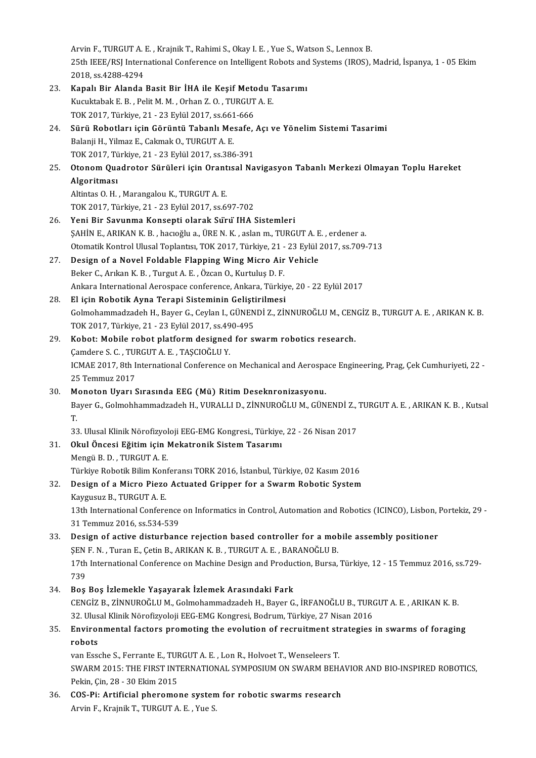Arvin F., TURGUT A. E., Krajnik T., Rahimi S., Okay I. E., Yue S., Watson S., Lennox B. Arvin F., TURGUT A. E. , Krajnik T., Rahimi S., Okay I. E. , Yue S., Watson S., Lennox B.<br>25th IEEE/RSJ International Conference on Intelligent Robots and Systems (IROS), Madrid, İspanya, 1 - 05 Ekim Arvin F., TURGUT A. 1<br>25th IEEE/RSJ Interr<br>2018, ss.4288-4294<br>Kanal: Bir Alanda 25th IEEE/RSJ International Conference on Intelligent Robots and<br>2018, ss.4288-4294<br>23. Kapalı Bir Alanda Basit Bir İHA ile Keşif Metodu Tasarımı<br>Kusultabak E.B., Balit M.M., Orban Z.O., TUBCUT A.E.

|     | 2018, ss 4288-4294                                                                                                  |
|-----|---------------------------------------------------------------------------------------------------------------------|
| 23. | Kapalı Bir Alanda Basit Bir İHA ile Keşif Metodu Tasarımı                                                           |
|     | Kucuktabak E. B., Pelit M. M., Orhan Z. O., TURGUT A. E.                                                            |
|     | TOK 2017, Türkiye, 21 - 23 Eylül 2017, ss.661-666                                                                   |
| 24. | Sürü Robotları için Görüntü Tabanlı Mesafe, Açı ve Yönelim Sistemi Tasarimi                                         |
|     | Balanji H., Yilmaz E., Cakmak O., TURGUT A. E.                                                                      |
|     | TOK 2017, Türkiye, 21 - 23 Eylül 2017, ss 386-391                                                                   |
| 25. | Otonom Quadrotor Sürüleri için Orantısal Navigasyon Tabanlı Merkezi Olmayan Toplu Hareket                           |
|     | Algoritması                                                                                                         |
|     | Altintas O.H., Marangalou K., TURGUT A.E.                                                                           |
|     | TOK 2017, Türkiye, 21 - 23 Eylül 2017, ss 697-702                                                                   |
| 26. | Yeni Bir Savunma Konsepti olarak Sürü IHA Sistemleri                                                                |
|     | ŞAHİN E., ARIKAN K. B., hacıoğlu a., ÜRE N. K., aslan m., TURGUT A. E., erdener a.                                  |
|     | Otomatik Kontrol Ulusal Toplantısı, TOK 2017, Türkiye, 21 - 23 Eylül 2017, ss.709-713                               |
| 27. | Design of a Novel Foldable Flapping Wing Micro Air Vehicle                                                          |
|     | Beker C., Arıkan K. B., Turgut A. E., Özcan O., Kurtuluş D. F.                                                      |
|     | Ankara International Aerospace conference, Ankara, Türkiye, 20 - 22 Eylül 2017                                      |
| 28. | El için Robotik Ayna Terapi Sisteminin Geliştirilmesi                                                               |
|     | Golmohammadzadeh H., Bayer G., Ceylan I., GÜNENDİ Z., ZİNNUROĞLU M., CENGİZ B., TURGUT A. E. , ARIKAN K. B.         |
|     | TOK 2017, Türkiye, 21 - 23 Eylül 2017, ss 490-495                                                                   |
| 29. | Kobot: Mobile robot platform designed for swarm robotics research.                                                  |
|     | Çamdere S. C., TURGUT A. E., TAŞCIOĞLU Y.                                                                           |
|     | ICMAE 2017, 8th International Conference on Mechanical and Aerospace Engineering, Prag, Çek Cumhuriyeti, 22 -       |
|     | 25 Temmuz 2017                                                                                                      |
| 30. | Monoton Uyarı Sırasında EEG (Mü) Ritim Deseknronizasyonu.                                                           |
|     | Bayer G., Golmohhammadzadeh H., VURALLI D., ZİNNUROĞLU M., GÜNENDİ Z., TURGUT A. E., ARIKAN K. B., Kutsal           |
|     | T.                                                                                                                  |
|     | 33. Ulusal Klinik Nörofizyoloji EEG-EMG Kongresi., Türkiye, 22 - 26 Nisan 2017                                      |
|     | Okul Öncesi Eğitim için Mekatronik Sistem Tasarımı                                                                  |
| 31. | Mengü B.D., TURGUT A.E.                                                                                             |
|     | Türkiye Robotik Bilim Konferansı TORK 2016, İstanbul, Türkiye, 02 Kasım 2016                                        |
| 32  | Design of a Micro Piezo Actuated Gripper for a Swarm Robotic System                                                 |
|     | Kaygusuz B., TURGUT A. E.                                                                                           |
|     | 13th International Conference on Informatics in Control, Automation and Robotics (ICINCO), Lisbon, Portekiz, 29 -   |
|     | 31 Temmuz 2016, ss 534-539                                                                                          |
|     | Design of active disturbance rejection based controller for a mobile assembly positioner                            |
| 33. | ŞEN F. N., Turan E., Çetin B., ARIKAN K. B., TURGUT A. E., BARANOĞLU B.                                             |
|     |                                                                                                                     |
|     | 17th International Conference on Machine Design and Production, Bursa, Türkiye, 12 - 15 Temmuz 2016, ss.729-<br>739 |
|     | Boş Boş İzlemekle Yaşayarak İzlemek Arasındaki Fark                                                                 |
| 34  | CENGİZ B., ZİNNUROĞLU M., Golmohammadzadeh H., Bayer G., İRFANOĞLU B., TURGUT A. E., ARIKAN K. B.                   |
|     |                                                                                                                     |
|     | 32. Ulusal Klinik Nörofizyoloji EEG-EMG Kongresi, Bodrum, Türkiye, 27 Nisan 2016                                    |
| 35. | Environmental factors promoting the evolution of recruitment strategies in swarms of foraging                       |
|     | robots                                                                                                              |
|     | van Essche S., Ferrante E., TURGUT A. E., Lon R., Holvoet T., Wenseleers T.                                         |
|     | SWARM 2015: THE FIRST INTERNATIONAL SYMPOSIUM ON SWARM BEHAVIOR AND BIO-INSPIRED ROBOTICS,                          |
|     | Pekin, Çin, 28 - 30 Ekim 2015                                                                                       |
| 36  | COS-Pi: Artificial pheromone system for robotic swarms research<br>$Amin E$ $VminikT$ THECHT $A E$ $V_{110}C$       |

Arvin F., Krajnik T., TURGUT A. E., Yue S.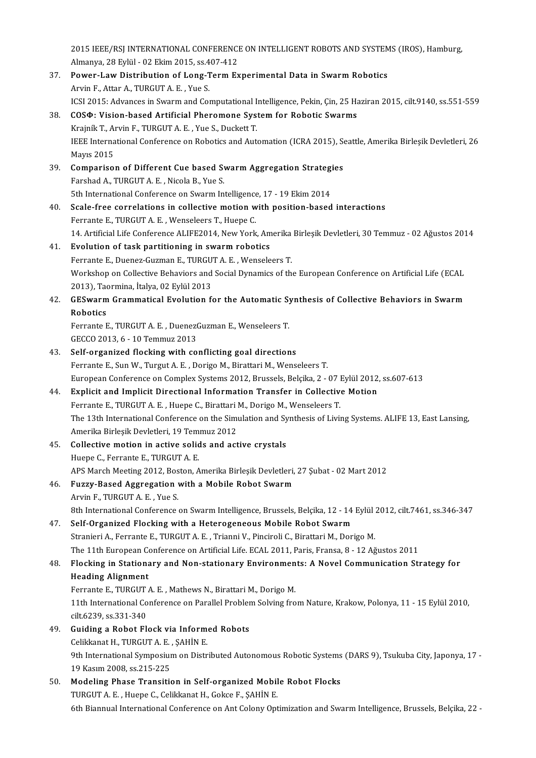2015 IEEE/RSJ INTERNATIONAL CONFERENCE ON INTELLIGENT ROBOTS AND SYSTEMS (IROS), Hamburg,<br>Almanya, 28 Evlül - 02 Ekim 2015, ss.407,412 2015 IEEE/RSJ INTERNATIONAL CONFERENCI<br>Almanya, 28 Eylül - 02 Ekim 2015, ss.407-412<br>Power J ow Distribution of Long Term Ev 2015 IEEE/RSJ INTERNATIONAL CONFERENCE ON INTELLIGENT ROBOTS AND SYSTEM<br>Almanya, 28 Eylül - 02 Ekim 2015, ss.407-412<br>37. Power-Law Distribution of Long-Term Experimental Data in Swarm Robotics<br>Awin E. Attar A. TURCUTA E. Y

- Almanya, 28 Eylül 02 Ekim 2015, ss.407-412<br>37. Power-Law Distribution of Long-Term Experimental Data in Swarm Robotics<br>Arvin F., Attar A., TURGUT A. E., Yue S. ICSI 2015: Advances in Swarm and Computational Intelligence, Pekin, Çin, 25 Haziran 2015, cilt.9140, ss.551-559
- 38. COSΦ: Vision-based Artificial Pheromone Systemfor Robotic Swarms ICSI 2015: Advances in Swarm and Computational I<br>**COSΦ: Vision-based Artificial Pheromone Sys**<br>Krajník T., Arvin F., TURGUT A. E. , Yue S., Duckett T.<br>JEEE International Conference on Pobotics and Aut IEEE International Conference on Robotics and Automation (ICRA 2015), Seattle, Amerika Birleşik Devletleri, 26<br>Mavis 2015 Krajník T., Al<br>IEEE Interna<br>Mayıs 2015<br>Comparisal IEEE International Conference on Robotics and Automation (ICRA 2015), So<br>Mayıs 2015<br>39. Comparison of Different Cue based Swarm Aggregation Strategies<br>Earshad A. TURCUT A. E. Nigola B. Yue S Mayıs 2015<br>**Comparison of Different Cue based Sy<br>Farshad A., TURGUT A. E. , Nicola B., Yue S.<br>Eth International Conference on Symrus In** Comparison of Different Cue based Swarm Aggregation Strategi<br>Farshad A., TURGUT A. E. , Nicola B., Yue S.<br>5th International Conference on Swarm Intelligence, 17 - 19 Ekim 2014<br>Seale free correlations in sollective motion w Farshad A., TURGUT A. E. , Nicola B., Yue S.<br>5th International Conference on Swarm Intelligence, 17 - 19 Ekim 2014<br>40. Scale-free correlations in collective motion with position-based interactions Ferrante E., TURGUT A. E., Wenseleers T., Huepe C. Scale-free correlations in collective motion with position-based interactions<br>Ferrante E., TURGUT A. E. , Wenseleers T., Huepe C.<br>14. Artificial Life Conference ALIFE2014, New York, Amerika Birleşik Devletleri, 30 Temmuz -41. Evolution of task partitioning in swarm robotics<br>Ferrante E., Duenez-Guzman E., TURGUT A. E., Wenseleers T. 14. Artificial Life Conference ALIFE2014, New York, Amerika<br>**Evolution of task partitioning in swarm robotics**<br>Ferrante E., Duenez-Guzman E., TURGUT A. E. , Wenseleers T.<br>Werkeben en Collective Bebeviers and Sosial Dynamic Workshop on Collective Behaviors and Social Dynamics of the European Conference on Artificial Life (ECAL 2013), Taormina, İtalya, 02 Eylül 2013 Workshop on Collective Behaviors and Social Dynamics of the European Conference on Artificial Life (ECAL 2013), Taormina, İtalya, 02 Eylül 2013<br>42. GESwarm Grammatical Evolution for the Automatic Synthesis of Collective Be 2013), Tack<br>**GESwarm<br>Robotics**<br>Eorrante E GESwarm Grammatical Evolution for the Automatic Sy<br>Robotics<br>Ferrante E., TURGUT A. E. , DuenezGuzman E., Wenseleers T.<br>CECCO 2012 6 - 10 Temmuz 2012 Robotics<br>Ferrante E., TURGUT A. E. , DuenezGuzman E., Wenseleers T.<br>GECCO 2013, 6 - 10 Temmuz 2013 43. Self-organized flocking with conflicting goal directions Ferrante E., Sun W., Turgut A. E., Dorigo M., Birattari M., Wenseleers T. European Conference on Complex Systems 2012, Brussels, Belçika, 2 - 07 Eylül 2012, ss.607-613 44. Explicit and Implicit Directional Information Transfer in Collective Motion Ferrante E., TURGUT A. E., Huepe C., Birattari M., Dorigo M., Wenseleers T. Explicit and Implicit Directional Information Transfer in Collective Motion<br>Ferrante E., TURGUT A. E. , Huepe C., Birattari M., Dorigo M., Wenseleers T.<br>The 13th International Conference on the Simulation and Synthesis of Ferrante E., TURGUT A. E. , Huepe C., Birattari I<br>The 13th International Conference on the Simi<br>Amerika Birleşik Devletleri, 19 Temmuz 2012<br>Collective metion in estive solide and est The 13th International Conference on the Simulation and Sy<br>Amerika Birleşik Devletleri, 19 Temmuz 2012<br>45. Collective motion in active solids and active crystals<br>Huene C. Ferrante E. TUBCUT A. F. Amerika Birleşik Devletleri, 19 Temmuz 2012<br>45. Collective motion in active solids and active crystals<br>Huepe C., Ferrante E., TURGUT A. E. Collective motion in active solids and active crystals<br>Huepe C., Ferrante E., TURGUT A. E.<br>APS March Meeting 2012, Boston, Amerika Birleşik Devletleri, 27 Şubat - 02 Mart 2012<br>Fuggy Bosed Aggregation with a Mobile Bobet Sw Huepe C., Ferrante E., TURGUT A. E.<br>APS March Meeting 2012, Boston, Amerika Birleşik Devletleri,<br>46. Fuzzy-Based Aggregation with a Mobile Robot Swarm 46. Fuzzy-Based Aggregation with a Mobile Robot Swarm<br>Arvin F., TURGUT A. E., Yue S. 8th International Conference on Swarm Intelligence, Brussels, Belçika, 12 - 14 Eylül 2012, cilt.7461, ss.346-347 47. Self-Organized Flocking with a Heterogeneous Mobile Robot Swarm Stranieri A., Ferrante E., TURGUT A. E., Trianni V., Pinciroli C., Birattari M., Dorigo M. Self-Organized Flocking with a Heterogeneous Mobile Robot Swarm<br>Stranieri A., Ferrante E., TURGUT A. E. , Trianni V., Pinciroli C., Birattari M., Dorigo M.<br>The 11th European Conference on Artificial Life. ECAL 2011, Paris, 48. Flocking in Stationary and Non-stationary Environments: A Novel Communication Strategy for The 11th European Control<br>Flocking in Stationa<br>Heading Alignment<br>Ferrante E. TUBCUT Flocking in Stationary and Non-stationary Environmen<br>Heading Alignment<br>Ferrante E., TURGUT A. E. , Mathews N., Birattari M., Dorigo M.<br>11th International Conference on Parallel Broblem Solving fro 11th International Conference on Parallel Problem Solving from Nature, Krakow, Polonya, 11 - 15 Eylül 2010, cilt.6239, ss.331-340 Ferrante E., TURGUT<br>11th International Co<br>cilt.6239, ss.331-340<br>Cuiding e Bobot El
- 11th International Conference on Parallel Problem<br>cilt.6239, ss.331-340<br>49. Guiding a Robot Flock via Informed Robots<br>Colibians H. TURCUT A E. SAHIN E cilt.6239, ss.331-340<br>Guiding a Robot Flock via Inform<br>Celikkanat H., TURGUT A. E. , ŞAHİN E.<br>9th International Sumposium on Distr Guiding a Robot Flock via Informed Robots<br>Celikkanat H., TURGUT A. E. , ŞAHİN E.<br>9th International Symposium on Distributed Autonomous Robotic Systems (DARS 9), Tsukuba City, Japonya, 17 -<br>19 Kesum 2008, ss 215, 225 Celikkanat H., TURGUT A. E.<br>9th International Symposiur<br>19 Kasım 2008, ss.215-225<br>Modeling Phase Transiti 9th International Symposium on Distributed Autonomous Robotic Systems<br>19 Kasım 2008, ss.215-225<br>50. Modeling Phase Transition in Self-organized Mobile Robot Flocks<br>TUDCUT A.E. Huane C. Colikianst H. Cokee E. SAHİN E.
- 19 Kasım 2008, ss.215-225<br>Modeling Phase Transition in Self-organized Mobile Robot Flocks<br>TURGUT A. E. , Huepe C., Celikkanat H., Gokce F., ŞAHİN E. 6th Biannual International Conference on Ant Colony Optimization and Swarm Intelligence, Brussels, Belçika, 22-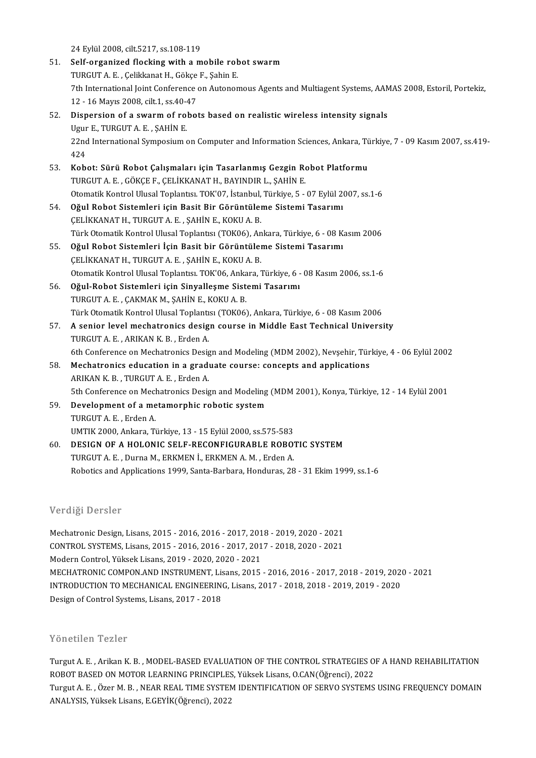24Eylül2008, cilt.5217, ss.108-119

- 51. Self-organized flocking with a mobile robot swarm 24 Eylül 2008, cilt.5217, ss.108-119<br>Self-organized flocking with a mobile rob<br>TURGUT A. E. , Çelikkanat H., Gökçe F., Şahin E.<br>7th International Jeint Conference en Autonon 7th International Joint Conference on Autonomous Agents and Multiagent Systems, AAMAS 2008, Estoril, Portekiz,<br>12 - 16 Mayıs 2008, cilt.1, ss.40-47 TURGUT A. E. , Çelikkanat H., Gökçe<br>7th International Joint Conference<br>12 - 16 Mayıs 2008, cilt.1, ss.40-47<br>Dispersion of a symrm of robei
- 52. Dispersion of a swarmof robots based on realisticwireless intensity signals 12 - 16 Mayıs 2008, cilt.1, ss.40-4<br>Dispersion of a swarm of rol<br>Ugur E., TURGUT A. E. , ŞAHİN E.<br>22nd International Sumposium 4 22nd International Symposium on Computer and Information Sciences, Ankara, Türkiye, 7 - 09 Kasım 2007, ss.419-<br>424 Ugur<br>22nd<br>424<br>Kab 22nd International Symposium on Computer and Information Sciences, Ankara, Tü<br>424<br>53. Kobot: Sürü Robot Çalışmaları için Tasarlanmış Gezgin Robot Platformu<br>TUDCUT A E. CÖKCE E. CELİKKANAT U. BAYINDIR L. SAHİN E.
- 424<br>Kobot: Sürü Robot Çalışmaları için Tasarlanmış Gezgin Ro<br>TURGUT A. E., GÖKÇE F., ÇELİKKANAT H., BAYINDIR L., ŞAHİN E.<br>Otamatik Kantral Ulusal Taplantısı TOK'07, İstanbul Türkiye E Kobot: Sürü Robot Çalışmaları için Tasarlanmış Gezgin Robot Platformu<br>TURGUT A. E. , GÖKÇE F., ÇELİKKANAT H., BAYINDIR L., ŞAHİN E.<br>Otomatik Kontrol Ulusal Toplantısı. TOK'07, İstanbul, Türkiye, 5 - 07 Eylül 2007, ss.1-6<br>O TURGUT A. E. , GÖKÇE F., ÇELİKKANAT H., BAYINDIR L., ŞAHİN E.<br>Otomatik Kontrol Ulusal Toplantısı. TOK'07, İstanbul, Türkiye, 5 - 07 Eylül 2007, ss.1-6<br>54. Oğul Robot Sistemleri için Basit Bir Görüntüleme Sistemi Tasarımı
- ÇELİKKANATH., TURGUTA E., ŞAHİN E., KOKUA.B. Oğul Robot Sistemleri için Basit Bir Görüntüleme Sistemi Tasarımı<br>ÇELİKKANAT H., TURGUT A. E. , ŞAHİN E., KOKU A. B.<br>Türk Otomatik Kontrol Ulusal Toplantısı (TOK06), Ankara, Türkiye, 6 - 08 Kasım 2006<br>Qğul Robat Sistemleri CELİKKANAT H., TURGUT A. E. , ŞAHİN E., KOKU A. B.<br>Türk Otomatik Kontrol Ulusal Toplantısı (TOK06), Ankara, Türkiye, 6 - 08 K.<br>55. Oğul Robot Sistemleri İçin Basit bir Görüntüleme Sistemi Tasarımı<br>CELİKKANAT H. TURCUT A. E
- Türk Otomatik Kontrol Ulusal Toplantısı (TOK06), An<br>**Oğul Robot Sistemleri İçin Basit bir Görüntüle**<br>ÇELİKKANAT H., TURGUT A. E. , ŞAHİN E., KOKU A. B.<br>Otomatik Kontrol Ulusal Toplantısı, TOK'06, Ankara İ 55. Oğul Robot Sistemleri İçin Basit bir Görüntüleme Sistemi Tasarımı<br>ÇELİKKANAT H., TURGUT A. E. , ŞAHİN E., KOKU A. B.<br>Otomatik Kontrol Ulusal Toplantısı. TOK'06, Ankara, Türkiye, 6 - 08 Kasım 2006, ss.1-6
- 56. Oğul-Robot Sistemleri için Sinyalleşme Sistemi Tasarımı TURGUT A.E., ÇAKMAK M., ŞAHİN E., KOKU A.B. Oğul-Robot Sistemleri için Sinyalleşme Sistemi Tasarımı<br>TURGUT A. E. , ÇAKMAK M., ŞAHİN E., KOKU A. B.<br>Türk Otomatik Kontrol Ulusal Toplantısı (TOK06), Ankara, Türkiye, 6 - 08 Kasım 2006<br>A senier level mechatroniss design
- 57. A senior level mechatronics design course in Middle East Technical University<br>TURGUT A. E., ARIKAN K. B., Erden A. Türk Otomatik Kontrol Ulusal Toplantı:<br>A senior level mechatronics desig<br>TURGUT A. E. , ARIKAN K. B. , Erden A.<br>6th Conference en Mechatronics Desig 6thConference on Mechatronics design course in Middle East Technical University<br>TURGUT A. E. , ARIKAN K. B. , Erden A.<br>6th Conference on Mechatronics Design and Modeling (MDM 2002), Nevşehir, Türkiye, 4 - 06 Eylül 2002<br>Mec
- TURGUT A. E., ARIKAN K. B., Erden A.<br>6th Conference on Mechatronics Design and Modeling (MDM 2002), Nevşehir, Tür<br>58. Mechatronics education in a graduate course: concepts and applications 6th Conference on Mechatronics Design<br>**Mechatronics education in a grad**i<br>ARIKAN K. B. , TURGUT A. E. , Erden A.<br>Eth Conference on Mechatronics Desig Mechatronics education in a graduate course: concepts and applications<br>ARIKAN K. B. , TURGUT A. E. , Erden A.<br>5th Conference on Mechatronics Design and Modeling (MDM 2001), Konya, Türkiye, 12 - 14 Eylül 2001<br>Develepment of ARIKAN K. B., TURGUT A. E., Erden A.<br>5th Conference on Mechatronics Design and Modeling<br>59. Development of a metamorphic robotic system<br>TUPCUT A. E. Erden A.
- 5th Conference on Mech<br>Development of a me<br>TURGUT A. E. , Erden A.<br>UMTIK 2000, Ankara, Tö Development of a metamorphic robotic system<br>TURGUT A. E. , Erden A.<br>UMTIK 2000, Ankara, Türkiye, 13 - 15 Eylül 2000, ss.575-583
- 60. DESIGN OF A HOLONIC SELF-RECONFIGURABLE ROBOTIC SYSTEM TURGUTA.E. ,DurnaM.,ERKMENİ.,ERKMENA.M. ,ErdenA. Robotics and Applications 1999, Santa-Barbara, Honduras, 28 - 31 Ekim 1999, ss.1-6

### Verdiği Dersler

MechatronicDesign,Lisans,2015-2016,2016-2017,2018-2019,2020-2021 CONTROL SYSTEMS,Lisans,2015-2016,2016-2017,2017-2018,2020-2021 ModernControl,YüksekLisans,2019-2020,2020-2021 CONTROL SYSTEMS, Lisans, 2015 - 2016, 2016 - 2017, 2017 - 2018, 2020 - 2021<br>Modern Control, Yüksek Lisans, 2019 - 2020, 2020 - 2021<br>MECHATRONIC COMPON.AND INSTRUMENT, Lisans, 2015 - 2016, 2016 - 2017, 2018 - 2019, 2020 - 2 Modern Control, Yüksek Lisans, 2019 - 2020, 2020 - 2021<br>MECHATRONIC COMPON.AND INSTRUMENT, Lisans, 2015 - 2016, 2016 - 2017, 2018 - 2019, 2020<br>INTRODUCTION TO MECHANICAL ENGINEERING, Lisans, 2017 - 2018, 2018 - 2019, 2019 MECHATRONIC COMPON.AND INSTRUMENT, Lis<br>INTRODUCTION TO MECHANICAL ENGINEERIN<br>Design of Control Systems, Lisans, 2017 - 2018 Design of Control Systems, Lisans, 2017 - 2018<br>Yönetilen Tezler

Turgut A. E., Arikan K. B., MODEL-BASED EVALUATION OF THE CONTROL STRATEGIES OF A HAND REHABILITATION ROBOTBASEDONMOTORLEARNINGPRINCIPLES,YüksekLisans,O.CAN(Öğrenci),2022 Turgut A. E. , Arikan K. B. , MODEL-BASED EVALUATION OF THE CONTROL STRATEGIES OF A HAND REHABILITATION<br>ROBOT BASED ON MOTOR LEARNING PRINCIPLES, Yüksek Lisans, O.CAN(Öğrenci), 2022<br>Turgut A. E. , Özer M. B. , NEAR REAL TI ROBOT BASED ON MOTOR LEARNING PRINCIPLES<br>Turgut A. E. , Özer M. B. , NEAR REAL TIME SYSTEN<br>ANALYSIS, Yüksek Lisans, E.GEYİK(Öğrenci), 2022